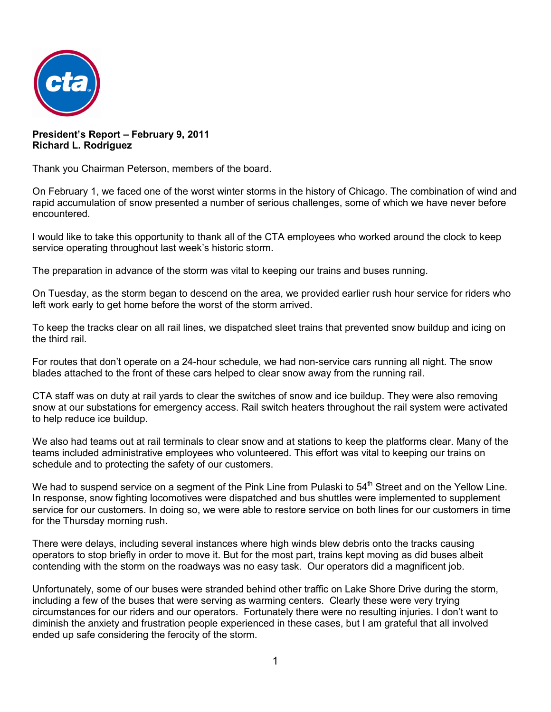

**President's Report – February 9, 2011 Richard L. Rodriguez**

Thank you Chairman Peterson, members of the board.

On February 1, we faced one of the worst winter storms in the history of Chicago. The combination of wind and rapid accumulation of snow presented a number of serious challenges, some of which we have never before encountered.

I would like to take this opportunity to thank all of the CTA employees who worked around the clock to keep service operating throughout last week's historic storm.

The preparation in advance of the storm was vital to keeping our trains and buses running.

On Tuesday, as the storm began to descend on the area, we provided earlier rush hour service for riders who left work early to get home before the worst of the storm arrived.

To keep the tracks clear on all rail lines, we dispatched sleet trains that prevented snow buildup and icing on the third rail.

For routes that don't operate on a 24-hour schedule, we had non-service cars running all night. The snow blades attached to the front of these cars helped to clear snow away from the running rail.

CTA staff was on duty at rail yards to clear the switches of snow and ice buildup. They were also removing snow at our substations for emergency access. Rail switch heaters throughout the rail system were activated to help reduce ice buildup.

We also had teams out at rail terminals to clear snow and at stations to keep the platforms clear. Many of the teams included administrative employees who volunteered. This effort was vital to keeping our trains on schedule and to protecting the safety of our customers.

We had to suspend service on a segment of the Pink Line from Pulaski to 54<sup>th</sup> Street and on the Yellow Line. In response, snow fighting locomotives were dispatched and bus shuttles were implemented to supplement service for our customers. In doing so, we were able to restore service on both lines for our customers in time for the Thursday morning rush.

There were delays, including several instances where high winds blew debris onto the tracks causing operators to stop briefly in order to move it. But for the most part, trains kept moving as did buses albeit contending with the storm on the roadways was no easy task. Our operators did a magnificent job.

Unfortunately, some of our buses were stranded behind other traffic on Lake Shore Drive during the storm, including a few of the buses that were serving as warming centers. Clearly these were very trying circumstances for our riders and our operators. Fortunately there were no resulting injuries. I don't want to diminish the anxiety and frustration people experienced in these cases, but I am grateful that all involved ended up safe considering the ferocity of the storm.